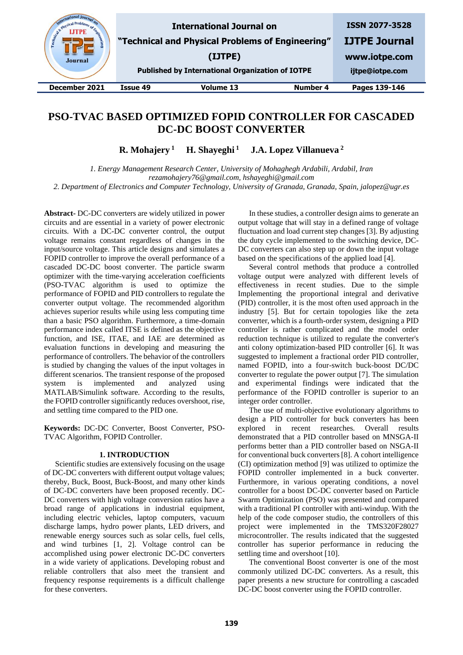| state Physical Pr.<br>Eng.<br><b>Journal</b> |          | <b>International Journal on</b><br>"Technical and Physical Problems of Engineering"<br>(IJTPE)<br><b>Published by International Organization of IOTPE</b> |          | <b>ISSN 2077-3528</b><br><b>IJTPE Journal</b><br>www.iotpe.com<br>ijtpe@iotpe.com |
|----------------------------------------------|----------|-----------------------------------------------------------------------------------------------------------------------------------------------------------|----------|-----------------------------------------------------------------------------------|
| December 2021                                | Issue 49 | Volume 13                                                                                                                                                 | Number 4 | Pages 139-146                                                                     |
|                                              |          |                                                                                                                                                           |          |                                                                                   |

# **PSO-TVAC BASED OPTIMIZED FOPID CONTROLLER FOR CASCADED DC-DC BOOST CONVERTER**

**R. Mohajery <sup>1</sup> H. Shayeghi <sup>1</sup> J.A. Lopez Villanueva <sup>2</sup>** 

*1. Energy Management Research Center, University of Mohaghegh Ardabili, Ardabil, Iran [rezamohajery76@gmail.com,](mailto:rezamohajery76@gmail.com) hshayeghi@gmail.com 2. Department of Electronics and Computer Technology, University of Granada, Granada, Spain, jalopez@ugr.es*

**Abstract-** DC-DC converters are widely utilized in power circuits and are essential in a variety of power electronic circuits. With a DC-DC converter control, the output voltage remains constant regardless of changes in the input/source voltage. This article designs and simulates a FOPID controller to improve the overall performance of a cascaded DC-DC boost converter. The particle swarm optimizer with the time-varying acceleration coefficients (PSO-TVAC algorithm is used to optimize the performance of FOPID and PID controllers to regulate the converter output voltage. The recommended algorithm achieves superior results while using less computing time than a basic PSO algorithm. Furthermore, a time-domain performance index called ITSE is defined as the objective function, and ISE, ITAE, and IAE are determined as evaluation functions in developing and measuring the performance of controllers. The behavior of the controllers is studied by changing the values of the input voltages in different scenarios. The transient response of the proposed system is implemented and analyzed using MATLAB/Simulink software. According to the results, the FOPID controller significantly reduces overshoot, rise, and settling time compared to the PID one.

**Keywords:** DC-DC Converter, Boost Converter, PSO-TVAC Algorithm, FOPID Controller.

## **1. INTRODUCTION**

Scientific studies are extensively focusing on the usage of DC-DC converters with different output voltage values; thereby, Buck, Boost, Buck-Boost, and many other kinds of DC-DC converters have been proposed recently. DC-DC converters with high voltage conversion ratios have a broad range of applications in industrial equipment, including electric vehicles, laptop computers, vacuum discharge lamps, hydro power plants, LED drivers, and renewable energy sources such as solar cells, fuel cells, and wind turbines [1, 2]. Voltage control can be accomplished using power electronic DC-DC converters in a wide variety of applications. Developing robust and reliable controllers that also meet the transient and frequency response requirements is a difficult challenge for these converters.

In these studies, a controller design aims to generate an output voltage that will stay in a defined range of voltage fluctuation and load current step changes [3]. By adjusting the duty cycle implemented to the switching device, DC-DC converters can also step up or down the input voltage based on the specifications of the applied load [4].

Several control methods that produce a controlled voltage output were analyzed with different levels of effectiveness in recent studies. Due to the simple Implementing the proportional integral and derivative (PID) controller, it is the most often used approach in the industry [5]. But for certain topologies like the zeta converter, which is a fourth-order system, designing a PID controller is rather complicated and the model order reduction technique is utilized to regulate the converter's anti colony optimization-based PID controller [6]. It was suggested to implement a fractional order PID controller, named FOPID, into a four-switch buck-boost DC/DC converter to regulate the power output [7]. The simulation and experimental findings were indicated that the performance of the FOPID controller is superior to an integer order controller.

The use of multi-objective evolutionary algorithms to design a PID controller for buck converters has been explored in recent researches. Overall results demonstrated that a PID controller based on MNSGA-II performs better than a PID controller based on NSGA-II for conventional buck converters [8]. A cohort intelligence (CI) optimization method [9] was utilized to optimize the FOPID controller implemented in a buck converter. Furthermore, in various operating conditions, a novel controller for a boost DC-DC converter based on Particle Swarm Optimization (PSO) was presented and compared with a traditional PI controller with anti-windup. With the help of the code composer studio, the controllers of this project were implemented in the TMS320F28027 microcontroller. The results indicated that the suggested controller has superior performance in reducing the settling time and overshoot [10].

The conventional Boost converter is one of the most commonly utilized DC-DC converters. As a result, this paper presents a new structure for controlling a cascaded DC-DC boost converter using the FOPID controller.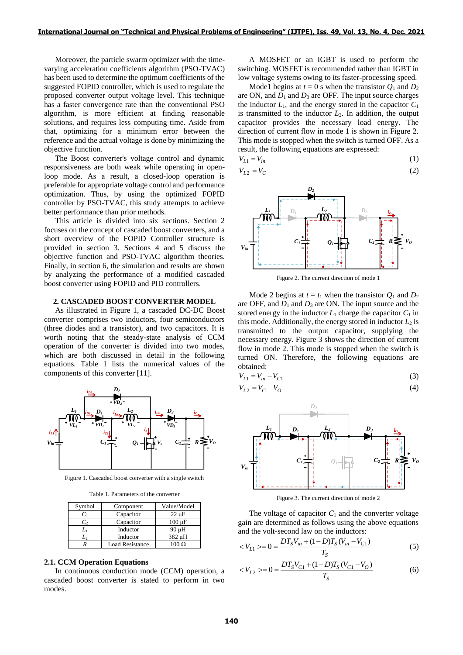Moreover, the particle swarm optimizer with the timevarying acceleration coefficients algorithm (PSO-TVAC) has been used to determine the optimum coefficients of the suggested FOPID controller, which is used to regulate the proposed converter output voltage level. This technique has a faster convergence rate than the conventional PSO algorithm, is more efficient at finding reasonable solutions, and requires less computing time. Aside from that, optimizing for a minimum error between the reference and the actual voltage is done by minimizing the objective function.

The Boost converter's voltage control and dynamic responsiveness are both weak while operating in openloop mode. As a result, a closed-loop operation is preferable for appropriate voltage control and performance optimization. Thus, by using the optimized FOPID controller by PSO-TVAC, this study attempts to achieve better performance than prior methods.

This article is divided into six sections. Section 2 focuses on the concept of cascaded boost converters, and a short overview of the FOPID Controller structure is provided in section 3. Sections 4 and 5 discuss the objective function and PSO-TVAC algorithm theories. Finally, in section 6, the simulation and results are shown by analyzing the performance of a modified cascaded boost converter using FOPID and PID controllers.

## **2. CASCADED BOOST CONVERTER MODEL**

As illustrated in Figure 1, a cascaded DC-DC Boost converter comprises two inductors, four semiconductors (three diodes and a transistor), and two capacitors. It is worth noting that the steady-state analysis of CCM operation of the converter is divided into two modes, which are both discussed in detail in the following equations. Table 1 lists the numerical values of the components of this converter [11].



Figure 1. Cascaded boost converter with a single switch

Table 1. Parameters of the converter

| Symbol | Component              | Value/Model  |
|--------|------------------------|--------------|
| $C_1$  | Capacitor              | $22 \mu F$   |
| C,     | Capacitor              | $100 \mu F$  |
| L١     | Inductor               | 90 µH        |
| L,     | Inductor               | 382 µH       |
|        | <b>Load Resistance</b> | $100 \Omega$ |

#### **2.1. CCM Operation Equations**

In continuous conduction mode (CCM) operation, a cascaded boost converter is stated to perform in two modes.

A MOSFET or an IGBT is used to perform the switching. MOSFET is recommended rather than IGBT in low voltage systems owing to its faster-processing speed.

Mode1 begins at  $t = 0$  s when the transistor  $Q_1$  and  $D_2$ are ON, and  $D_1$  and  $D_3$  are OFF. The input source charges the inductor  $L_1$ , and the energy stored in the capacitor  $C_1$ is transmitted to the inductor  $L_2$ . In addition, the output capacitor provides the necessary load energy. The direction of current flow in mode 1 is shown in Figure 2. This mode is stopped when the switch is turned OFF. As a result, the following equations are expressed:

$$
V_{L1} = V_{in}
$$
\n
$$
V_{L2} = V_C
$$
\n
$$
(1)
$$
\n
$$
(2)
$$



Figure 2. The current direction of mode 1

Mode 2 begins at  $t = t_1$  when the transistor  $Q_1$  and  $D_2$ are OFF, and  $D_1$  and  $D_3$  are ON. The input source and the stored energy in the inductor  $L_1$  charge the capacitor  $C_1$  in this mode. Additionally, the energy stored in inductor  $L_2$  is transmitted to the output capacitor, supplying the necessary energy. Figure 3 shows the direction of current flow in mode 2. This mode is stopped when the switch is turned ON. Therefore, the following equations are obtained:

$$
V_{L1} = V_{in} - V_{C1}
$$
 (3)

$$
V_{L2} = V_C - V_O \tag{4}
$$



Figure 3. The current direction of mode 2

The voltage of capacitor  $C_1$  and the converter voltage gain are determined as follows using the above equations and the volt-second law on the inductors:

$$
\langle V_{L1} \rangle = 0 = \frac{DT_S V_{in} + (1 - D)T_S (V_{in} - V_{C1})}{T_S} \tag{5}
$$

$$
\langle V_{L2} \rangle = 0 = \frac{DT_S V_{C1} + (1 - D)T_S (V_{C1} - V_O)}{T_S} \tag{6}
$$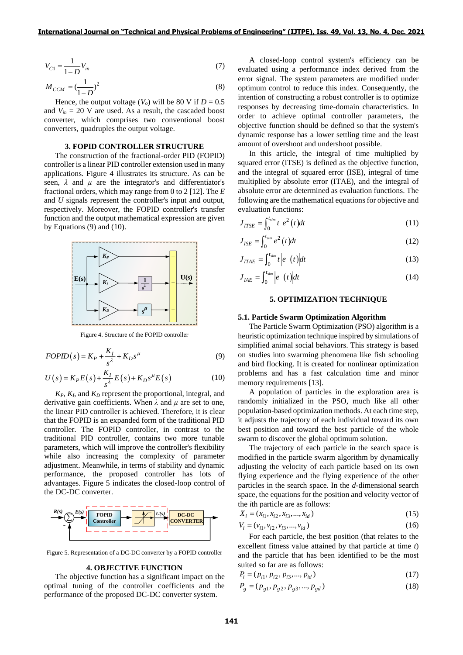$$
V_{C1} = \frac{1}{1 - D} V_{in}
$$
 (7)

$$
M_{CCM} = \left(\frac{1}{1-D}\right)^2\tag{8}
$$

Hence, the output voltage  $(V_o)$  will be 80 V if  $D = 0.5$ and  $V_{in} = 20$  V are used. As a result, the cascaded boost converter, which comprises two conventional boost converters, quadruples the output voltage.

## **3. FOPID CONTROLLER STRUCTURE**

The construction of the fractional-order PID (FOPID) controller is a linear PID controller extension used in many applications. Figure 4 illustrates its structure. As can be seen,  $\lambda$  and  $\mu$  are the integrator's and differentiator's fractional orders, which may range from 0 to 2 [12]. The *E* and *U* signals represent the controller's input and output, respectively. Moreover, the FOPID controller's transfer function and the output mathematical expression are given by Equations (9) and (10).



Figure 4. Structure of the FOPID controller

$$
FOPID(s) = K_P + \frac{K_I}{s^{\lambda}} + K_D s^{\mu}
$$
\n<sup>(9)</sup>

$$
U(s) = K_P E(s) + \frac{K_I}{s^{\lambda}} E(s) + K_D s^{\mu} E(s)
$$
\n(10)

*KP*, *KI*, and *K<sup>D</sup>* represent the proportional, integral, and derivative gain coefficients. When *λ* and *μ* are set to one, the linear PID controller is achieved. Therefore, it is clear that the FOPID is an expanded form of the traditional PID controller. The FOPID controller, in contrast to the traditional PID controller, contains two more tunable parameters, which will improve the controller's flexibility while also increasing the complexity of parameter adjustment. Meanwhile, in terms of stability and dynamic performance, the proposed controller has lots of advantages. Figure 5 indicates the closed-loop control of the DC-DC converter.



Figure 5. Representation of a DC-DC converter by a FOPID controller

## **4. OBJECTIVE FUNCTION**

The objective function has a significant impact on the optimal tuning of the controller coefficients and the performance of the proposed DC-DC converter system.

A closed-loop control system's efficiency can be evaluated using a performance index derived from the error signal. The system parameters are modified under optimum control to reduce this index. Consequently, the intention of constructing a robust controller is to optimize responses by decreasing time-domain characteristics. In order to achieve optimal controller parameters, the objective function should be defined so that the system's dynamic response has a lower settling time and the least amount of overshoot and undershoot possible.

In this article, the integral of time multiplied by squared error (ITSE) is defined as the objective function, and the integral of squared error (ISE), integral of time multiplied by absolute error (ITAE), and the integral of absolute error are determined as evaluation functions. The following are the mathematical equations for objective and evaluation functions:

$$
J_{ITSE} = \int_0^{t_{sim}} t e^2 \left( t \right) dt \tag{11}
$$

$$
J_{ISE} = \int_0^{t_{sim}} e^2 \left( t \right) dt \tag{12}
$$

$$
J_{ITAE} = \int_0^{t_{sim}} t \left| e^{-t} \right| dt \tag{13}
$$

$$
J_{IAE} = \int_0^{t_{sim}} \left| e(t) \right| dt \tag{14}
$$

## **5. OPTIMIZATION TECHNIQUE**

#### **5.1. Particle Swarm Optimization Algorithm**

The Particle Swarm Optimization (PSO) algorithm is a heuristic optimization technique inspired by simulations of simplified animal social behaviors. This strategy is based on studies into swarming phenomena like fish schooling and bird flocking. It is created for nonlinear optimization problems and has a fast calculation time and minor memory requirements [13].

A population of particles in the exploration area is randomly initialized in the PSO, much like all other population-based optimization methods. At each time step, it adjusts the trajectory of each individual toward its own best position and toward the best particle of the whole swarm to discover the global optimum solution.

The trajectory of each particle in the search space is modified in the particle swarm algorithm by dynamically adjusting the velocity of each particle based on its own flying experience and the flying experience of the other particles in the search space. In the *d*-dimensional search space, the equations for the position and velocity vector of the *i*th particle are as follows:

$$
X_i = (x_{i1}, x_{i2}, x_{i3}, \dots, x_{id})
$$
\n(15)

$$
V_i = (v_{i1}, v_{i2}, v_{i3}, \dots, v_{id})
$$
\n(16)

For each particle, the best position (that relates to the excellent fitness value attained by that particle at time *t*) and the particle that has been identified to be the most suited so far are as follows:

$$
P_i = (p_{i1}, p_{i2}, p_{i3}, \dots, p_{id})
$$
\n(17)

$$
P_g = (p_{g1}, p_{g2}, p_{g3}, \dots, p_{gd})
$$
\n(18)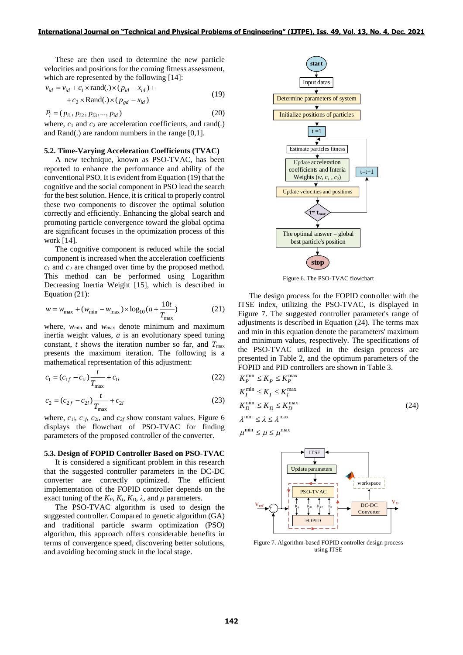These are then used to determine the new particle velocities and positions for the coming fitness assessment, which are represented by the following [14]:

$$
v_{id} = v_{id} + c_1 \times \text{rand}(.) \times (p_{id} - x_{id}) ++ c_2 \times \text{Rand}(.) \times (p_{gd} - x_{id})
$$
\n(19)

$$
P_i = (p_{i1}, p_{i2}, p_{i3}, \dots, p_{id})
$$
\n(20)

where,  $c_1$  and  $c_2$  are acceleration coefficients, and rand(.) and Rand(*.*) are random numbers in the range [0,1].

## **5.2. Time-Varying Acceleration Coefficients (TVAC)**

A new technique, known as PSO-TVAC, has been reported to enhance the performance and ability of the conventional PSO. It is evident from Equation (19) that the cognitive and the social component in PSO lead the search for the best solution. Hence, it is critical to properly control these two components to discover the optimal solution correctly and efficiently. Enhancing the global search and promoting particle convergence toward the global optima are significant focuses in the optimization process of this work [14].

The cognitive component is reduced while the social component is increased when the acceleration coefficients *c<sup>1</sup>* and *c<sup>2</sup>* are changed over time by the proposed method. This method can be performed using Logarithm Decreasing Inertia Weight [15], which is described in Equation (21):

$$
w = w_{\text{max}} + (w_{\text{min}} - w_{\text{max}}) \times \log_{10}(a + \frac{10t}{T_{\text{max}}})
$$
 (21)

where,  $w_{min}$  and  $w_{max}$  denote minimum and maximum inertia weight values, *a* is an evolutionary speed tuning constant,  $t$  shows the iteration number so far, and  $T_{\text{max}}$ presents the maximum iteration. The following is a mathematical representation of this adjustment:

$$
c_1 = (c_{1f} - c_{1i}) \frac{t}{T_{\text{max}}} + c_{1i}
$$
 (22)

$$
c_2 = (c_{2f} - c_{2i}) \frac{t}{T_{\text{max}}} + c_{2i}
$$
 (23)

where,  $c_{1i}$ ,  $c_{1f}$ ,  $c_{2i}$ , and  $c_{2f}$  show constant values. Figure 6 displays the flowchart of PSO-TVAC for finding parameters of the proposed controller of the converter.

#### **5.3. Design of FOPID Controller Based on PSO-TVAC**

It is considered a significant problem in this research that the suggested controller parameters in the DC-DC converter are correctly optimized. The efficient implementation of the FOPID controller depends on the exact tuning of the  $K_P$ ,  $K_I$ ,  $K_D$ ,  $\lambda$ , and  $\mu$  parameters.

The PSO-TVAC algorithm is used to design the suggested controller. Compared to genetic algorithm (GA) and traditional particle swarm optimization (PSO) algorithm, this approach offers considerable benefits in terms of convergence speed, discovering better solutions, and avoiding becoming stuck in the local stage.



Figure 6. The PSO-TVAC flowchart

The design process for the FOPID controller with the ITSE index, utilizing the PSO-TVAC, is displayed in Figure 7. The suggested controller parameter's range of adjustments is described in Equation (24). The terms max and min in this equation denote the parameters' maximum and minimum values, respectively. The specifications of the PSO-TVAC utilized in the design process are presented in Table 2, and the optimum parameters of the FOPID and PID controllers are shown in Table 3.

$$
K_P^{\min} \le K_P \le K_P^{\max}
$$
  
\n
$$
K_I^{\min} \le K_I \le K_I^{\max}
$$
  
\n
$$
K_D^{\min} \le K_D \le K_D^{\max}
$$
  
\n
$$
\lambda^{\min} \le \lambda \le \lambda^{\max}
$$
  
\n
$$
\mu^{\min} \le \mu \le \mu^{\max}
$$
 (24)



Figure 7. Algorithm-based FOPID controller design process using ITSE

 $=$ min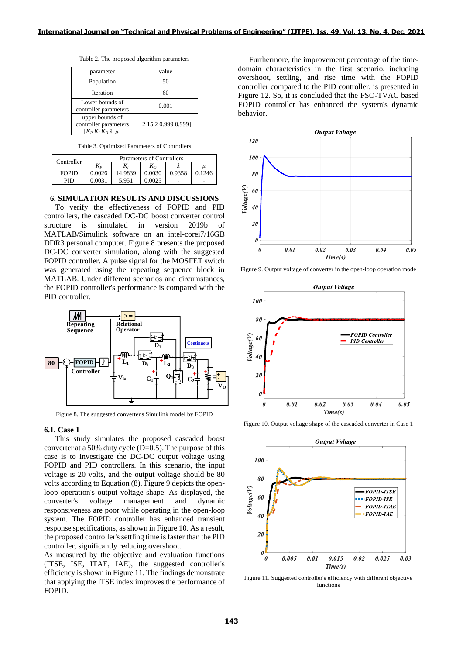| Table 2. The proposed algorithm parameters |  |  |
|--------------------------------------------|--|--|
|--------------------------------------------|--|--|

| parameter                                                               | value                |  |
|-------------------------------------------------------------------------|----------------------|--|
| Population                                                              | 50                   |  |
| <b>Iteration</b>                                                        | 60                   |  |
| Lower bounds of<br>controller parameters                                | 0.001                |  |
| upper bounds of<br>controller parameters<br>$[K_P K_I K_D \lambda \mu]$ | [2 15 2 0.999 0.999] |  |

Table 3. Optimized Parameters of Controllers

|              | Parameters of Controllers |         |        |        |        |
|--------------|---------------------------|---------|--------|--------|--------|
| Controller   | Kр                        |         | $K_D$  |        | и      |
| <b>FOPID</b> | 0.0026                    | 14.9839 | 0.0030 | 0.9358 | 0.1246 |
| PID          |                           | 5.951   | 0.0025 |        | -      |

#### **6. SIMULATION RESULTS AND DISCUSSIONS**

To verify the effectiveness of FOPID and PID controllers, the cascaded DC-DC boost converter control structure is simulated in version 2019b of MATLAB/Simulink software on an intel-corei7/16GB DDR3 personal computer. Figure 8 presents the proposed DC-DC converter simulation, along with the suggested FOPID controller. A pulse signal for the MOSFET switch was generated using the repeating sequence block in MATLAB. Under different scenarios and circumstances, the FOPID controller's performance is compared with the PID controller.



Figure 8. The suggested converter's Simulink model by FOPID

#### **6.1. Case 1**

This study simulates the proposed cascaded boost converter at a 50% duty cycle  $(D=0.5)$ . The purpose of this case is to investigate the DC-DC output voltage using FOPID and PID controllers. In this scenario, the input voltage is 20 volts, and the output voltage should be 80 volts according to Equation (8). Figure 9 depicts the openloop operation's output voltage shape. As displayed, the converter's voltage management and dynamic responsiveness are poor while operating in the open-loop system. The FOPID controller has enhanced transient response specifications, as shown in Figure 10. As a result, the proposed controller's settling time is faster than the PID controller, significantly reducing overshoot.

As measured by the objective and evaluation functions (ITSE, ISE, ITAE, IAE), the suggested controller's efficiency is shown in Figure 11. The findings demonstrate that applying the ITSE index improves the performance of FOPID.

Furthermore, the improvement percentage of the timedomain characteristics in the first scenario, including overshoot, settling, and rise time with the FOPID controller compared to the PID controller, is presented in Figure 12. So, it is concluded that the PSO-TVAC based FOPID controller has enhanced the system's dynamic behavior.



Figure 9. Output voltage of converter in the open-loop operation mode



Figure 10. Output voltage shape of the cascaded converter in Case 1



Figure 11. Suggested controller's efficiency with different objective functions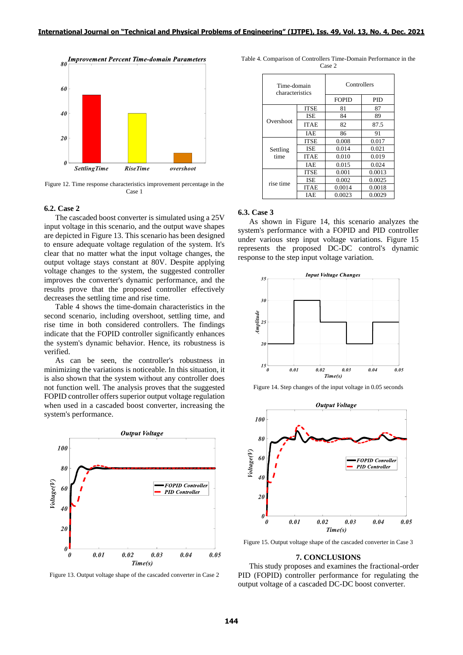

Figure 12. Time response characteristics improvement percentage in the Case 1

## **6.2. Case 2**

The cascaded boost converter is simulated using a 25V input voltage in this scenario, and the output wave shapes are depicted in Figure 13. This scenario has been designed to ensure adequate voltage regulation of the system. It's clear that no matter what the input voltage changes, the output voltage stays constant at 80V. Despite applying voltage changes to the system, the suggested controller improves the converter's dynamic performance, and the results prove that the proposed controller effectively decreases the settling time and rise time.

Table 4 shows the time-domain characteristics in the second scenario, including overshoot, settling time, and rise time in both considered controllers. The findings indicate that the FOPID controller significantly enhances the system's dynamic behavior. Hence, its robustness is verified.

As can be seen, the controller's robustness in minimizing the variations is noticeable. In this situation, it is also shown that the system without any controller does not function well. The analysis proves that the suggested FOPID controller offers superior output voltage regulation when used in a cascaded boost converter, increasing the system's performance.



Figure 13. Output voltage shape of the cascaded converter in Case 2

| Time-domain<br>characteristics |             | Controllers<br><b>FOPID</b><br><b>PID</b> |        |  |
|--------------------------------|-------------|-------------------------------------------|--------|--|
|                                | <b>ITSE</b> | 81                                        | 87     |  |
| Overshoot                      | <b>ISE</b>  | 84                                        | 89     |  |
|                                | <b>ITAE</b> | 82                                        | 87.5   |  |
|                                | <b>IAE</b>  | 86                                        | 91     |  |
| Settling<br>time               | ITSE        | 0.008                                     | 0.017  |  |
|                                | ISE         | 0.014                                     | 0.021  |  |
|                                | <b>ITAE</b> | 0.010                                     | 0.019  |  |
|                                | IAE         | 0.015                                     | 0.024  |  |
| rise time                      | <b>ITSE</b> | 0.001                                     | 0.0013 |  |
|                                | <b>ISE</b>  | 0.002                                     | 0.0025 |  |
|                                | <b>ITAE</b> | 0.0014                                    | 0.0018 |  |
|                                | IAE         | 0.0023                                    | 0.0029 |  |

#### Table 4. Comparison of Controllers Time-Domain Performance in the Case 2

#### **6.3. Case 3**

As shown in Figure 14, this scenario analyzes the system's performance with a FOPID and PID controller under various step input voltage variations. Figure 15 represents the proposed DC-DC control's dynamic response to the step input voltage variation.



Figure 14. Step changes of the input voltage in 0.05 seconds



Figure 15. Output voltage shape of the cascaded converter in Case 3

### **7. CONCLUSIONS**

This study proposes and examines the fractional-order PID (FOPID) controller performance for regulating the output voltage of a cascaded DC-DC boost converter.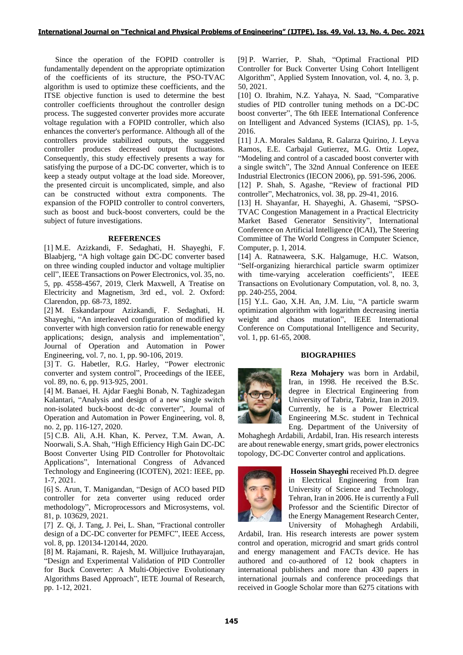Since the operation of the FOPID controller is fundamentally dependent on the appropriate optimization of the coefficients of its structure, the PSO-TVAC algorithm is used to optimize these coefficients, and the ITSE objective function is used to determine the best controller coefficients throughout the controller design process. The suggested converter provides more accurate voltage regulation with a FOPID controller, which also enhances the converter's performance. Although all of the controllers provide stabilized outputs, the suggested controller produces decreased output fluctuations. Consequently, this study effectively presents a way for satisfying the purpose of a DC-DC converter, which is to keep a steady output voltage at the load side. Moreover, the presented circuit is uncomplicated, simple, and also can be constructed without extra components. The expansion of the FOPID controller to control converters, such as boost and buck-boost converters, could be the subject of future investigations.

## **REFERENCES**

[1] M.E. Azizkandi, F. Sedaghati, H. Shayeghi, F. Blaabjerg, "A high voltage gain DC-DC converter based on three winding coupled inductor and voltage multiplier cell", IEEE Transactions on Power Electronics, vol. 35, no. 5, pp. 4558-4567, 2019, Clerk Maxwell, A Treatise on Electricity and Magnetism, 3rd ed., vol. 2. Oxford: Clarendon, pp. 68-73, 1892.

[2] M. Eskandarpour Azizkandi, F. Sedaghati, H. Shayeghi, "An interleaved configuration of modified ky converter with high conversion ratio for renewable energy applications; design, analysis and implementation", Journal of Operation and Automation in Power Engineering, vol. 7, no. 1, pp. 90-106, 2019.

[3] T. G. Habetler, R.G. Harley, "Power electronic converter and system control", Proceedings of the IEEE, vol. 89, no. 6, pp. 913-925, 2001.

[4] M. Banaei, H. Ajdar Faeghi Bonab, N. Taghizadegan Kalantari, "Analysis and design of a new single switch non-isolated buck-boost dc-dc converter", Journal of Operation and Automation in Power Engineering, vol. 8, no. 2, pp. 116-127, 2020.

[5] C.B. Ali, A.H. Khan, K. Pervez, T.M. Awan, A. Noorwali, S.A. Shah, "High Efficiency High Gain DC-DC Boost Converter Using PID Controller for Photovoltaic Applications", International Congress of Advanced Technology and Engineering (ICOTEN), 2021: IEEE, pp. 1-7, 2021.

[6] S. Arun, T. Manigandan, "Design of ACO based PID controller for zeta converter using reduced order methodology", Microprocessors and Microsystems, vol. 81, p. 103629, 2021.

[7] Z. Qi, J. Tang, J. Pei, L. Shan, "Fractional controller design of a DC-DC converter for PEMFC", IEEE Access, vol. 8, pp. 120134-120144, 2020.

[8] M. Rajamani, R. Rajesh, M. Willjuice Iruthayarajan, "Design and Experimental Validation of PID Controller for Buck Converter: A Multi-Objective Evolutionary Algorithms Based Approach", IETE Journal of Research, pp. 1-12, 2021.

[9] P. Warrier, P. Shah, "Optimal Fractional PID Controller for Buck Converter Using Cohort Intelligent Algorithm", Applied System Innovation, vol. 4, no. 3, p. 50, 2021.

[10] O. Ibrahim, N.Z. Yahaya, N. Saad, "Comparative studies of PID controller tuning methods on a DC-DC boost converter", The 6th IEEE International Conference on Intelligent and Advanced Systems (ICIAS), pp. 1-5, 2016.

[11] J.A. Morales Saldana, R. Galarza Quirino, J. Leyva Ramos, E.E. Carbajal Gutierrez, M.G. Ortiz Lopez, "Modeling and control of a cascaded boost converter with a single switch", The 32nd Annual Conference on IEEE Industrial Electronics (IECON 2006), pp. 591-596, 2006. [12] P. Shah, S. Agashe, "Review of fractional PID

controller", Mechatronics, vol. 38, pp. 29-41, 2016. [13] H. Shayanfar, H. Shayeghi, A. Ghasemi, "SPSO-TVAC Congestion Management in a Practical Electricity Market Based Generator Sensitivity", International Conference on Artificial Intelligence (ICAI), The Steering Committee of The World Congress in Computer Science, Computer, p. 1, 2014.

[14] A. Ratnaweera, S.K. Halgamuge, H.C. Watson, "Self-organizing hierarchical particle swarm optimizer with time-varying acceleration coefficients", IEEE Transactions on Evolutionary Computation, vol. 8, no. 3, pp. 240-255, 2004.

[15] Y.L. Gao, X.H. An, J.M. Liu, "A particle swarm optimization algorithm with logarithm decreasing inertia weight and chaos mutation", IEEE International Conference on Computational Intelligence and Security, vol. 1, pp. 61-65, 2008.

## **BIOGRAPHIES**



**Reza Mohajery** was born in Ardabil, Iran, in 1998. He received the B.Sc. degree in Electrical Engineering from University of Tabriz, Tabriz, Iran in 2019. Currently, he is a Power Electrical Engineering M.Sc. student in Technical Eng. Department of the University of

Mohaghegh Ardabili, Ardabil, Iran. His research interests are about renewable energy, smart grids, power electronics topology, DC-DC Converter control and applications.



**Hossein Shayeghi** received Ph.D. degree in Electrical Engineering from Iran University of Science and Technology, Tehran, Iran in 2006. He is currently a Full Professor and the Scientific Director of the Energy Management Research Center, University of Mohaghegh Ardabili,

Ardabil, Iran. His research interests are power system control and operation, microgrid and smart grids control and energy management and FACTs device. He has authored and co-authored of 12 book chapters in international publishers and more than 430 papers in international journals and conference proceedings that received in Google Scholar more than 6275 citations with